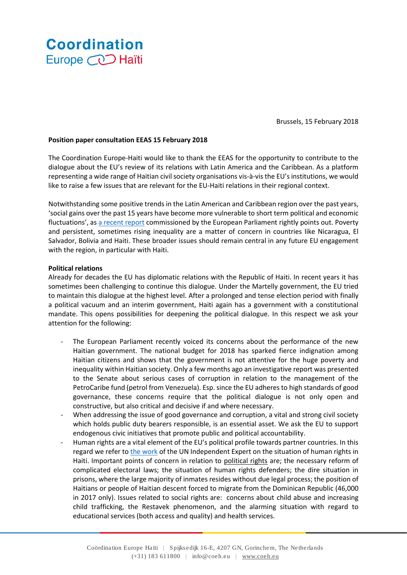# **Coordination** Europe **CO** Haïti

Brussels, 15 February 2018

## **Position paper consultation EEAS 15 February 2018**

The Coordination Europe-Haiti would like to thank the EEAS for the opportunity to contribute to the dialogue about the EU's review of its relations with Latin America and the Caribbean. As a platform representing a wide range of Haitian civil society organisations vis-à-vis the EU's institutions, we would like to raise a few issues that are relevant for the EU-Haiti relations in their regional context.

Notwithstanding some positive trends in the Latin American and Caribbean region over the past years, 'social gains over the past 15 years have become more vulnerable to short term political and economic fluctuations', as [a recent report](http://www.europarl.europa.eu/RegData/etudes/STUD/2017/578028/EXPO_STU(2017)578028_EN.pdf) commissioned by the European Parliament rightly points out. Poverty and persistent, sometimes rising inequality are a matter of concern in countries like Nicaragua, El Salvador, Bolivia and Haiti. These broader issues should remain central in any future EU engagement with the region, in particular with Haiti.

## **Political relations**

Already for decades the EU has diplomatic relations with the Republic of Haiti. In recent years it has sometimes been challenging to continue this dialogue. Under the Martelly government, the EU tried to maintain this dialogue at the highest level. After a prolonged and tense election period with finally a political vacuum and an interim government, Haiti again has a government with a constitutional mandate. This opens possibilities for deepening the political dialogue. In this respect we ask your attention for the following:

- The European Parliament recently voiced its concerns about the performance of the new Haitian government. The national budget for 2018 has sparked fierce indignation among Haitian citizens and shows that the government is not attentive for the huge poverty and inequality within Haitian society. Only a few months ago an investigative report was presented to the Senate about serious cases of corruption in relation to the management of the PetroCaribe fund (petrol from Venezuela). Esp. since the EU adheres to high standards of good governance, these concerns require that the political dialogue is not only open and constructive, but also critical and decisive if and where necessary.
- When addressing the issue of good governance and corruption, a vital and strong civil society which holds public duty bearers responsible, is an essential asset. We ask the EU to support endogenous civic initiatives that promote public and political accountability.
- Human rights are a vital element of the EU's political profile towards partner countries. In this regard we refer t[o the work](http://www.ohchr.org/EN/HRBodies/SP/CountriesMandates/HT/Pages/IEHaiti.aspx) of the UN Independent Expert on the situation of human rights in Haiti. Important points of concern in relation to political rights are; the necessary reform of complicated electoral laws; the situation of human rights defenders; the dire situation in prisons, where the large majority of inmates resides without due legal process; the position of Haitians or people of Haitian descent forced to migrate from the Dominican Republic (46,000 in 2017 only). Issues related to social rights are: concerns about child abuse and increasing child trafficking, the Restavek phenomenon, and the alarming situation with regard to educational services (both access and quality) and health services.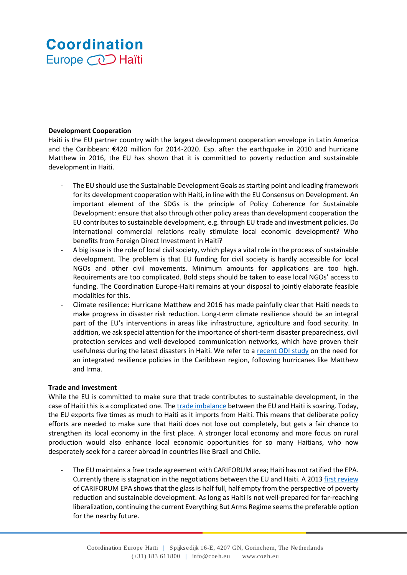# **Coordination** Europe **CO** Haïti

## **Development Cooperation**

Haiti is the EU partner country with the largest development cooperation envelope in Latin America and the Caribbean: €420 million for 2014-2020. Esp. after the earthquake in 2010 and hurricane Matthew in 2016, the EU has shown that it is committed to poverty reduction and sustainable development in Haiti.

- The EU should use the Sustainable Development Goals as starting point and leading framework for its development cooperation with Haiti, in line with the EU Consensus on Development. An important element of the SDGs is the principle of Policy Coherence for Sustainable Development: ensure that also through other policy areas than development cooperation the EU contributes to sustainable development, e.g. through EU trade and investment policies. Do international commercial relations really stimulate local economic development? Who benefits from Foreign Direct Investment in Haiti?
- A big issue is the role of local civil society, which plays a vital role in the process of sustainable development. The problem is that EU funding for civil society is hardly accessible for local NGOs and other civil movements. Minimum amounts for applications are too high. Requirements are too complicated. Bold steps should be taken to ease local NGOs' access to funding. The Coordination Europe-Haiti remains at your disposal to jointly elaborate feasible modalities for this.
- Climate resilience: Hurricane Matthew end 2016 has made painfully clear that Haiti needs to make progress in disaster risk reduction. Long-term climate resilience should be an integral part of the EU's interventions in areas like infrastructure, agriculture and food security. In addition, we ask special attention for the importance of short-term disaster preparedness, civil protection services and well-developed communication networks, which have proven their usefulness during the latest disasters in Haiti. We refer to a [recent ODI study](https://www.odi.org/publications/11037-building-back-better-resilient-caribbean-after-2017-hurricanes) on the need for an integrated resilience policies in the Caribbean region, following hurricanes like Matthew and Irma.

## **Trade and investment**

While the EU is committed to make sure that trade contributes to sustainable development, in the case of Haiti this is a complicated one. The [trade imbalance](http://trade.ec.europa.eu/doclib/docs/2006/september/tradoc_113385.pdf) between the EU and Haiti is soaring. Today, the EU exports five times as much to Haiti as it imports from Haiti. This means that deliberate policy efforts are needed to make sure that Haiti does not lose out completely, but gets a fair chance to strengthen its local economy in the first place. A stronger local economy and more focus on rural production would also enhance local economic opportunities for so many Haitians, who now desperately seek for a career abroad in countries like Brazil and Chile.

The EU maintains a free trade agreement with CARIFORUM area; Haiti has not ratified the EPA. Currently there is stagnation in the negotiations between the EU and Haiti. A 2013 [first review](https://www.carib-export.com/obic/documents/CARIFORUM%20EPA%205-Year%20Review%20-%20Executive%20Summary%20EN.pdf) of CARIFORUM EPA shows that the glass is half full, half empty from the perspective of poverty reduction and sustainable development. As long as Haiti is not well-prepared for far-reaching liberalization, continuing the current Everything But Arms Regime seems the preferable option for the nearby future.